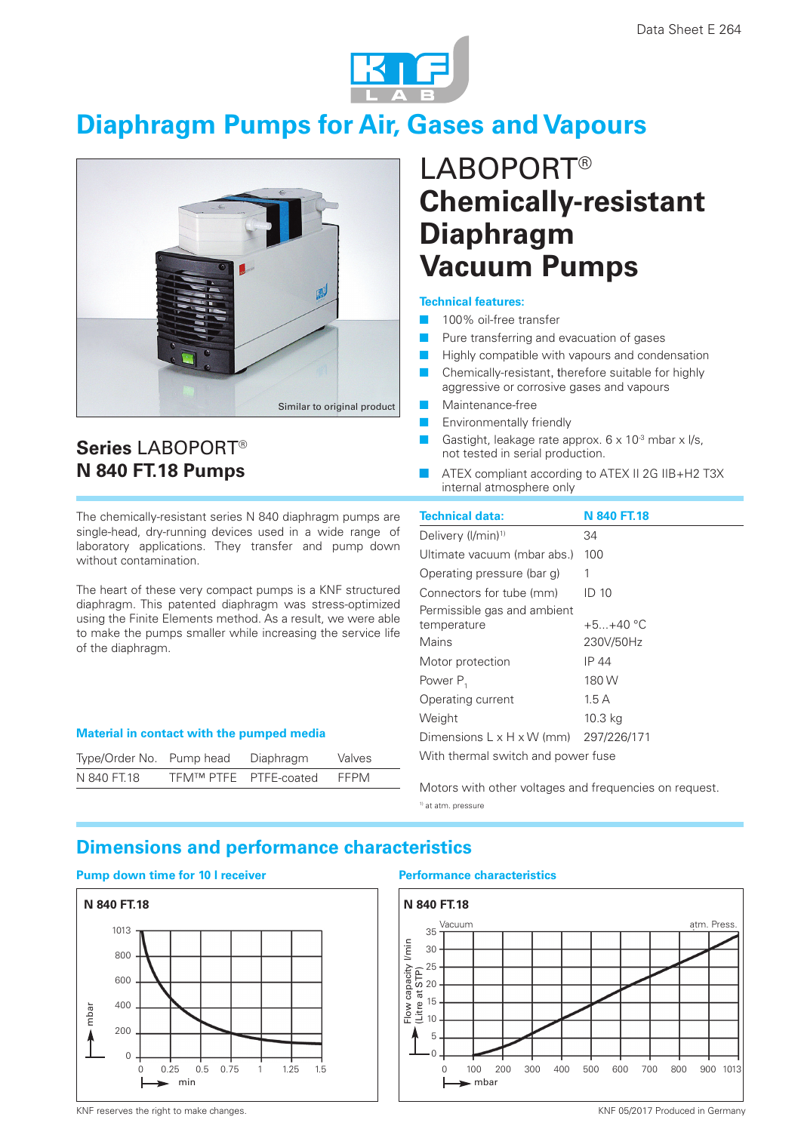

# **Diaphragm Pumps for Air, Gases and Vapours**



# LABOPORT® **Chemically-resistant Diaphragm Vacuum Pumps**

### **Technical features:**

- 100% oil-free transfer
- Pure transferring and evacuation of gases
- Highly compatible with vapours and condensation
- Chemically-resistant, therefore suitable for highly aggressive or corrosive gases and vapours
- Maintenance-free
- Environmentally friendly
- Gastight, leakage rate approx. 6 x 10<sup>-3</sup> mbar x l/s, not tested in serial production.
- - ATEX compliant according to ATEX II 2G IIB+H2 T3X internal atmosphere only

The chemically-resistant series N 840 diaphragm pumps are single-head, dry-running devices used in a wide range of laboratory applications. They transfer and pump down without contamination.

The heart of these very compact pumps is a KNF structured diaphragm. This patented diaphragm was stress-optimized using the Finite Elements method. As a result, we were able to make the pumps smaller while increasing the service life of the diaphragm.

#### **Material in contact with the pumped media**

| Type/Order No. Pump head |                       | Diaphragm | Valves |
|--------------------------|-----------------------|-----------|--------|
| N 840 FT.18              | TFM™ PTFE PTFE-coated |           | FFPM   |

| <b>Technical data:</b>                            | <b>N 840 FT.18</b> |  |  |
|---------------------------------------------------|--------------------|--|--|
| Delivery (I/min) <sup>1)</sup>                    | 34                 |  |  |
| Ultimate vacuum (mbar abs.)                       | 100                |  |  |
| Operating pressure (bar g)                        | 1                  |  |  |
| Connectors for tube (mm)                          | ID 10              |  |  |
| Permissible gas and ambient                       |                    |  |  |
| temperature                                       | $+5 + 40 °C$       |  |  |
| Mains                                             | 230V/50Hz          |  |  |
| Motor protection                                  | IP 44              |  |  |
| Power P <sub>1</sub>                              | 180W               |  |  |
| Operating current                                 | 1.5A               |  |  |
| Weight                                            | 10.3 kg            |  |  |
| Dimensions $L \times H \times W$ (mm) 297/226/171 |                    |  |  |
| With thermal switch and power fuse                |                    |  |  |

Motors with other voltages and frequencies on request. 1) at atm. pressure

# **Dimensions and performance characteristics**

## **Pump down time for 10 l receiver Performance characteristics**

Series LABOPORT<sup>®</sup> **N 840 FT.18 Pumps**





KNF reserves the right to make changes. The reserves the right to make changes and the server of the server of the server of the server of the server of the server of the server of the server of the server of the server of